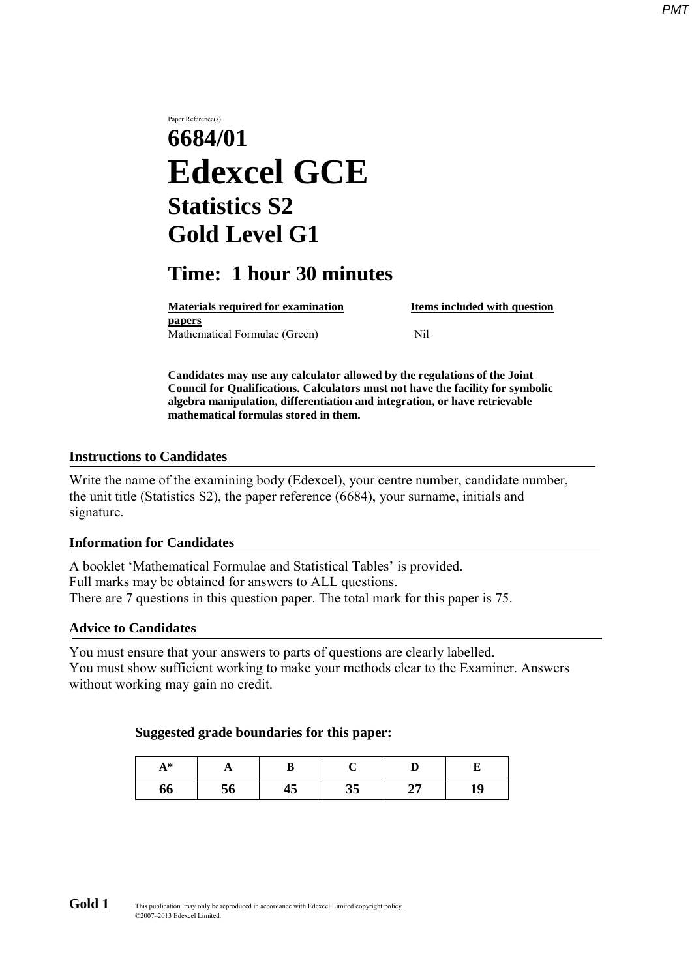# Paper Reference(s) **6684/01 Edexcel GCE Statistics S2 Gold Level G1**

# **Time: 1 hour 30 minutes**

**Materials required for examination Items included with question papers** Mathematical Formulae (Green)Nil

**Candidates may use any calculator allowed by the regulations of the Joint Council for Qualifications. Calculators must not have the facility for symbolic algebra manipulation, differentiation and integration, or have retrievable mathematical formulas stored in them.**

#### **Instructions to Candidates**

Write the name of the examining body (Edexcel), your centre number, candidate number, the unit title (Statistics S2), the paper reference (6684), your surname, initials and signature.

#### **Information for Candidates**

A booklet 'Mathematical Formulae and Statistical Tables' is provided. Full marks may be obtained for answers to ALL questions. There are 7 questions in this question paper. The total mark for this paper is 75.

#### **Advice to Candidates**

You must ensure that your answers to parts of questions are clearly labelled. You must show sufficient working to make your methods clear to the Examiner. Answers without working may gain no credit.

#### **Suggested grade boundaries for this paper:**

| Δ *<br>$\mathbf{r}$ | A  |    |          |          |    |  |
|---------------------|----|----|----------|----------|----|--|
| 66                  | 56 | +5 | 25<br>JJ | דר<br>41 | 19 |  |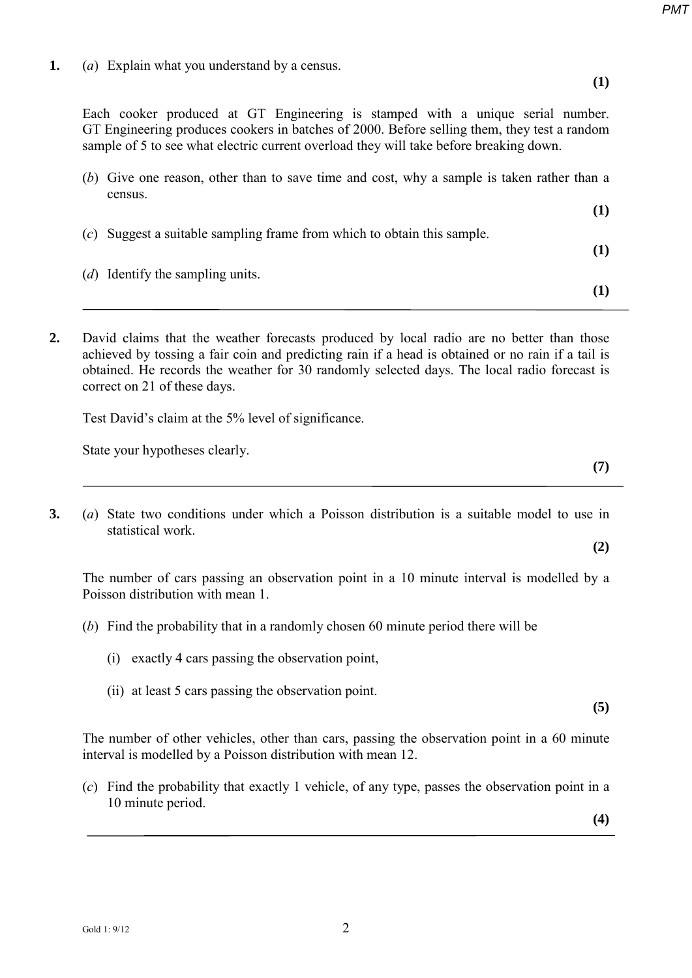**1.** (*a*) Explain what you understand by a census.

**(1)**

**(1)**

**(1)**

Each cooker produced at GT Engineering is stamped with a unique serial number. GT Engineering produces cookers in batches of 2000. Before selling them, they test a random sample of 5 to see what electric current overload they will take before breaking down.

(*b*) Give one reason, other than to save time and cost, why a sample is taken rather than a census.

| $(c)$ Suggest a suitable sampling frame from which to obtain this sample. |  |
|---------------------------------------------------------------------------|--|
| (d) Identify the sampling units.                                          |  |

**2.** David claims that the weather forecasts produced by local radio are no better than those achieved by tossing a fair coin and predicting rain if a head is obtained or no rain if a tail is obtained. He records the weather for 30 randomly selected days. The local radio forecast is correct on 21 of these days.

Test David's claim at the 5% level of significance.

State your hypotheses clearly.

**3.** (*a*) State two conditions under which a Poisson distribution is a suitable model to use in statistical work.

The number of cars passing an observation point in a 10 minute interval is modelled by a Poisson distribution with mean 1.

- (*b*) Find the probability that in a randomly chosen 60 minute period there will be
	- (i) exactly 4 cars passing the observation point,
	- (ii) at least 5 cars passing the observation point.

**(5)**

The number of other vehicles, other than cars, passing the observation point in a 60 minute interval is modelled by a Poisson distribution with mean 12.

(*c*) Find the probability that exactly 1 vehicle, of any type, passes the observation point in a 10 minute period.

**(4)**

**(7)** 

**(2)**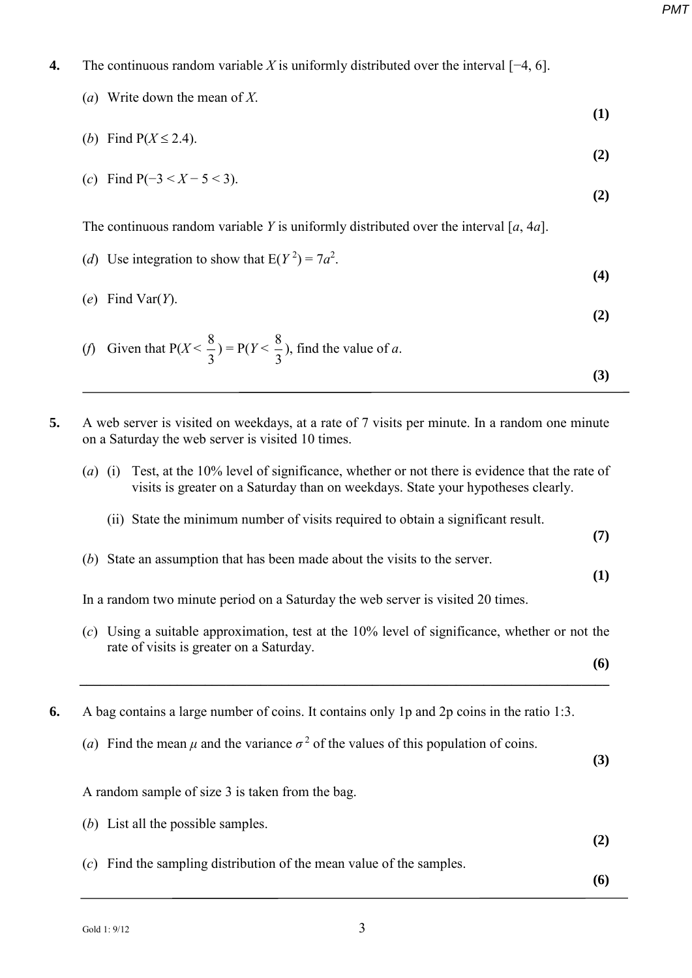- **4.** The continuous random variable *X* is uniformly distributed over the interval [−4, 6].
	- (*a*) Write down the mean of *X*.

(*b*) Find  $P(X \le 2.4)$ .

**(1)**

$$
\tag{2}
$$

(c) Find 
$$
P(-3 < X - 5 < 3)
$$
. (2)

The continuous random variable *Y* is uniformly distributed over the interval [*a*, 4*a*].

(d) Use integration to show that 
$$
E(Y^2) = 7a^2
$$
.

(*e*) Find Var(*Y*).

(f) Given that 
$$
P(X < \frac{8}{3}) = P(Y < \frac{8}{3})
$$
, find the value of *a*.

- **5.** A web server is visited on weekdays, at a rate of 7 visits per minute. In a random one minute on a Saturday the web server is visited 10 times.
	- (*a*) (i) Test, at the 10% level of significance, whether or not there is evidence that the rate of visits is greater on a Saturday than on weekdays. State your hypotheses clearly.
		- (ii) State the minimum number of visits required to obtain a significant result.

**(7)**

**(1)**

**(6)**

(*b*) State an assumption that has been made about the visits to the server.

In a random two minute period on a Saturday the web server is visited 20 times.

(*c*) Using a suitable approximation, test at the 10% level of significance, whether or not the rate of visits is greater on a Saturday.

**\_\_\_\_\_\_\_\_\_\_\_\_\_\_\_\_\_\_\_\_\_\_\_\_\_\_\_\_\_\_\_\_\_\_\_\_\_\_\_\_\_\_\_\_\_\_\_\_\_\_\_\_\_\_\_\_\_\_\_\_\_\_\_\_\_\_\_\_\_\_\_\_\_\_\_\_** 

**6.** A bag contains a large number of coins. It contains only 1p and 2p coins in the ratio 1:3.

(*a*) Find the mean *μ* and the variance  $\sigma^2$  of the values of this population of coins.

(*c*) Find the sampling distribution of the mean value of the samples.

**(3)**

A random sample of size 3 is taken from the bag.

(*b*) List all the possible samples.

**(6)**

**(2)**

**(3)**

**(4)**

**(2)**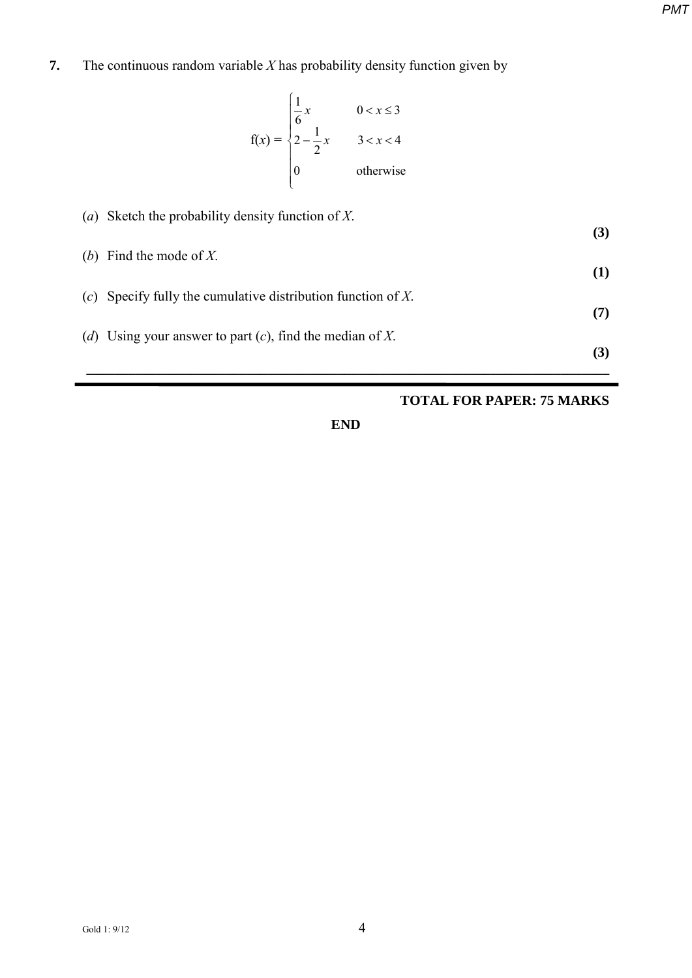# **7.** The continuous random variable *X* has probability density function given by

$$
f(x) = \begin{cases} \frac{1}{6}x & 0 < x \le 3\\ 2 - \frac{1}{2}x & 3 < x < 4\\ 0 & \text{otherwise} \end{cases}
$$

| $\left( a\right)$ | Sketch the probability density function of X.                | (3) |
|-------------------|--------------------------------------------------------------|-----|
|                   | (b) Find the mode of X.                                      | (1) |
|                   | (c) Specify fully the cumulative distribution function of X. |     |
| (d)               | Using your answer to part $(c)$ , find the median of X.      | (7) |
|                   |                                                              | (3) |

### **TOTAL FOR PAPER: 75 MARKS**

**END**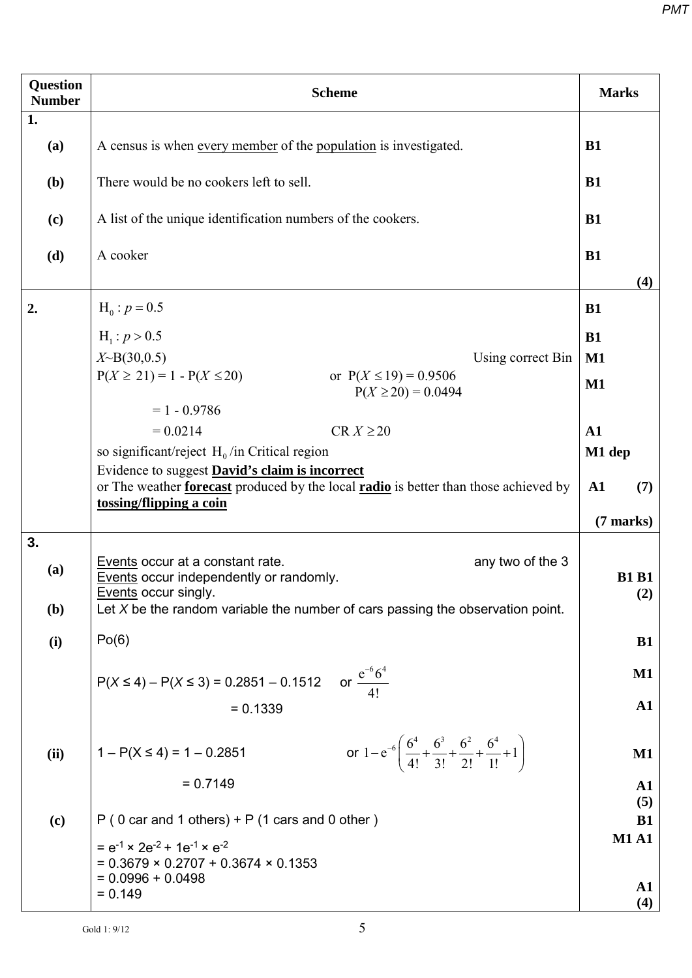| <b>Question</b><br><b>Number</b> | <b>Scheme</b>                                                                                                                                        |                   |  |  |  |  |  |
|----------------------------------|------------------------------------------------------------------------------------------------------------------------------------------------------|-------------------|--|--|--|--|--|
| 1.                               |                                                                                                                                                      |                   |  |  |  |  |  |
| (a)                              | A census is when every member of the population is investigated.                                                                                     |                   |  |  |  |  |  |
| (b)                              | There would be no cookers left to sell.                                                                                                              | <b>B1</b>         |  |  |  |  |  |
| (c)                              | A list of the unique identification numbers of the cookers.                                                                                          | <b>B1</b>         |  |  |  |  |  |
| (d)                              | A cooker                                                                                                                                             | <b>B1</b>         |  |  |  |  |  |
|                                  |                                                                                                                                                      | (4)               |  |  |  |  |  |
| 2.                               | $H_0: p = 0.5$                                                                                                                                       | <b>B1</b>         |  |  |  |  |  |
|                                  | $H_1: p > 0.5$                                                                                                                                       | <b>B1</b>         |  |  |  |  |  |
|                                  | $X \sim B(30, 0.5)$<br>Using correct Bin                                                                                                             | $\mathbf{M1}$     |  |  |  |  |  |
|                                  | $P(X \ge 21) = 1 - P(X \le 20)$<br>or $P(X \le 19) = 0.9506$<br>$P(X \ge 20) = 0.0494$                                                               | $\mathbf{M1}$     |  |  |  |  |  |
|                                  | $= 1 - 0.9786$                                                                                                                                       |                   |  |  |  |  |  |
|                                  | $= 0.0214$<br>$CR X \ge 20$                                                                                                                          | $\mathbf{A1}$     |  |  |  |  |  |
|                                  | so significant/reject $H_0$ /in Critical region                                                                                                      | M1 dep            |  |  |  |  |  |
|                                  | Evidence to suggest David's claim is incorrect<br>or The weather <b>forecast</b> produced by the local <b>radio</b> is better than those achieved by | ${\bf A1}$<br>(7) |  |  |  |  |  |
|                                  | tossing/flipping a coin                                                                                                                              | $(7$ marks)       |  |  |  |  |  |
| 3.                               |                                                                                                                                                      |                   |  |  |  |  |  |
| (a)                              | any two of the 3<br>Events occur at a constant rate.<br>Events occur independently or randomly.                                                      | <b>B1 B1</b>      |  |  |  |  |  |
|                                  | Events occur singly.                                                                                                                                 | (2)               |  |  |  |  |  |
| ( <b>b</b> )                     | Let $X$ be the random variable the number of cars passing the observation point.                                                                     |                   |  |  |  |  |  |
| (i)                              | Po(6)                                                                                                                                                |                   |  |  |  |  |  |
|                                  |                                                                                                                                                      | $\mathbf{M1}$     |  |  |  |  |  |
|                                  | $P(X \le 4) - P(X \le 3) = 0.2851 - 0.1512$ or $\frac{e^{-6}6^4}{41}$                                                                                |                   |  |  |  |  |  |
|                                  | $= 0.1339$                                                                                                                                           | ${\bf A1}$        |  |  |  |  |  |
| (ii)                             | or $1-e^{-6} \left( \frac{6^4}{4!} + \frac{6^3}{3!} + \frac{6^2}{2!} + \frac{6^4}{1!} + 1 \right)$<br>$1 - P(X \le 4) = 1 - 0.2851$                  | $\mathbf{M1}$     |  |  |  |  |  |
|                                  | $= 0.7149$                                                                                                                                           | ${\bf A1}$        |  |  |  |  |  |
|                                  |                                                                                                                                                      | (5)               |  |  |  |  |  |
| (c)                              | $P$ (0 car and 1 others) + $P$ (1 cars and 0 other)                                                                                                  | <b>B1</b>         |  |  |  |  |  |
|                                  | $= e^{-1} \times 2e^{-2} + 1e^{-1} \times e^{-2}$                                                                                                    | <b>M1 A1</b>      |  |  |  |  |  |
|                                  | $= 0.3679 \times 0.2707 + 0.3674 \times 0.1353$<br>$= 0.0996 + 0.0498$                                                                               |                   |  |  |  |  |  |
|                                  | $= 0.149$                                                                                                                                            | ${\bf A1}$<br>(4) |  |  |  |  |  |
|                                  |                                                                                                                                                      |                   |  |  |  |  |  |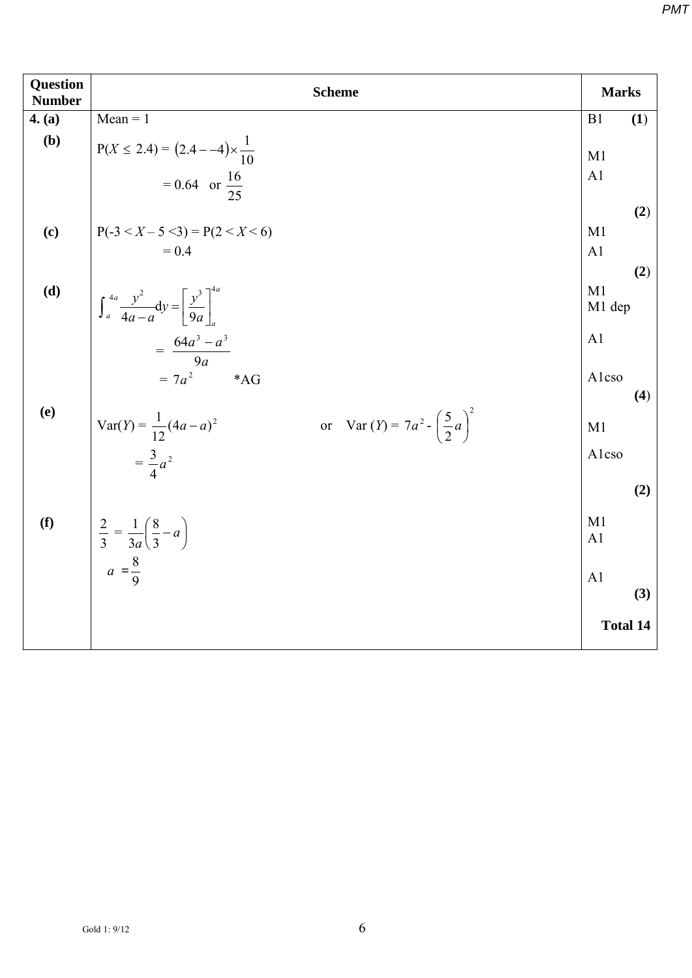| <b>Question</b><br><b>Number</b> | <b>Scheme</b>                                                                                                          | <b>Marks</b>                                  |
|----------------------------------|------------------------------------------------------------------------------------------------------------------------|-----------------------------------------------|
| 4. (a)                           | $Mean = 1$                                                                                                             | (1)<br>B1                                     |
| (b)                              | $P(X \le 2.4) = (2.4 - -4) \times \frac{1}{10}$<br>$= 0.64$ or $\frac{16}{25}$                                         | M1<br>A <sub>1</sub>                          |
| (c)                              | $P(-3 < X - 5 < 3) = P(2 < X < 6)$<br>$= 0.4$                                                                          | (2)<br>M1<br>A <sub>1</sub><br>(2)            |
| (d)                              | $\int_{a}^{4a} \frac{y^2}{4a-a} dy = \left[ \frac{y^3}{9a} \right]_{a}^{4a}$<br>$=\frac{64a^3-a^3}{9a}$<br>$=7a^2$ *AG | M1<br>M1 dep<br>A <sub>1</sub><br>Alcso       |
| <b>(e)</b>                       | or Var $(Y) = 7a^2 - \left(\frac{5}{2}a\right)^2$<br>Var(Y) = $\frac{1}{12}(4a-a)^2$<br>$=\frac{3}{4}a^2$              | (4)<br>M1<br>Alcso<br>(2)                     |
| (f)                              | $\frac{2}{3} = \frac{1}{3a} \left( \frac{8}{3} - a \right)$<br>$a = \frac{8}{9}$                                       | M1<br>A <sub>1</sub><br>A <sub>1</sub><br>(3) |
|                                  |                                                                                                                        | <b>Total 14</b>                               |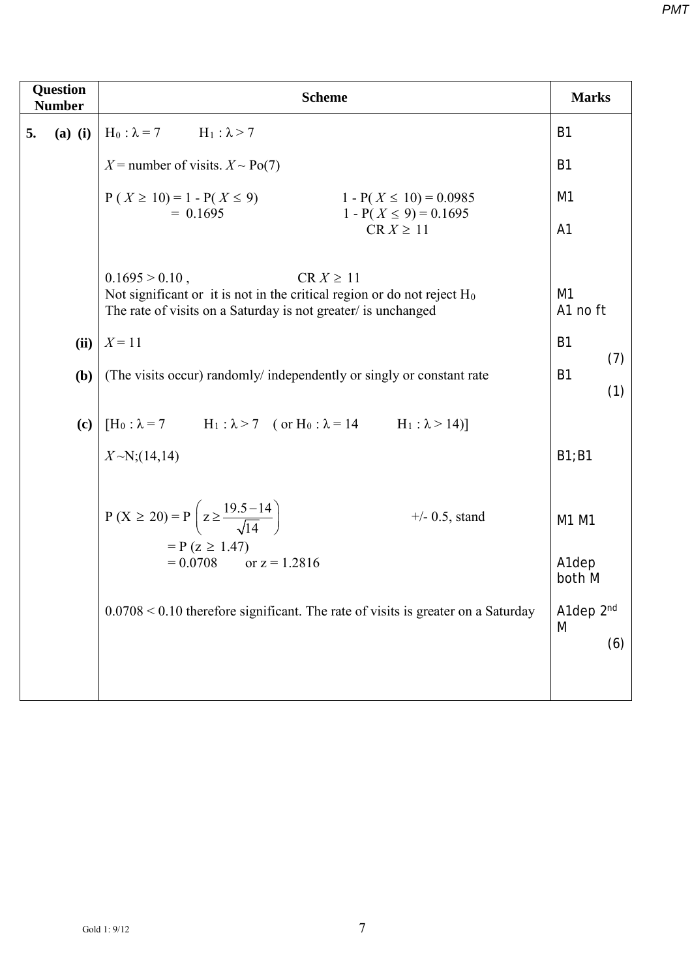| <b>Question</b><br><b>Number</b> | <b>Scheme</b>                                                                                                                                                                      |                              |  |  |  |  |
|----------------------------------|------------------------------------------------------------------------------------------------------------------------------------------------------------------------------------|------------------------------|--|--|--|--|
| 5.                               | (a) (i) $H_0: \lambda = 7$ $H_1: \lambda > 7$                                                                                                                                      | B <sub>1</sub>               |  |  |  |  |
|                                  | $X$ = number of visits. $X \sim Po(7)$                                                                                                                                             | B <sub>1</sub>               |  |  |  |  |
|                                  | $P(X \ge 10) = 1 - P(X \le 9)$<br>$1 - P(X \le 10) = 0.0985$<br>$= 0.1695$<br>$1 - P(X \le 9) = 0.1695$                                                                            | M <sub>1</sub>               |  |  |  |  |
|                                  | $CR X \geq 11$                                                                                                                                                                     | A <sub>1</sub>               |  |  |  |  |
|                                  | $0.1695 > 0.10$ ,<br>$CR X \geq 11$<br>Not significant or it is not in the critical region or do not reject $H_0$<br>The rate of visits on a Saturday is not greater/ is unchanged | M1<br>A1 no ft               |  |  |  |  |
|                                  | (ii) $X = 11$                                                                                                                                                                      | <b>B1</b><br>(7)             |  |  |  |  |
| <b>(b)</b>                       | (The visits occur) randomly/ independently or singly or constant rate                                                                                                              | <b>B1</b><br>(1)             |  |  |  |  |
| (c)                              | [ $H_0: \lambda = 7$ $H_1: \lambda > 7$ (or $H_0: \lambda = 14$ $H_1: \lambda > 14$ )]                                                                                             |                              |  |  |  |  |
|                                  | $X \sim N$ ; (14,14)                                                                                                                                                               | B1;B1                        |  |  |  |  |
|                                  | $P(X \ge 20) = P\left(z \ge \frac{19.5 - 14}{\sqrt{14}}\right)$<br>$+/- 0.5$ , stand<br>$= P (z \ge 1.47)$                                                                         | M1 M1                        |  |  |  |  |
|                                  | $= 0.0708$ or $z = 1.2816$                                                                                                                                                         | A <sub>1</sub> dep<br>both M |  |  |  |  |
|                                  | $0.0708 < 0.10$ therefore significant. The rate of visits is greater on a Saturday                                                                                                 | A1dep 2nd<br>M<br>(6)        |  |  |  |  |
|                                  |                                                                                                                                                                                    |                              |  |  |  |  |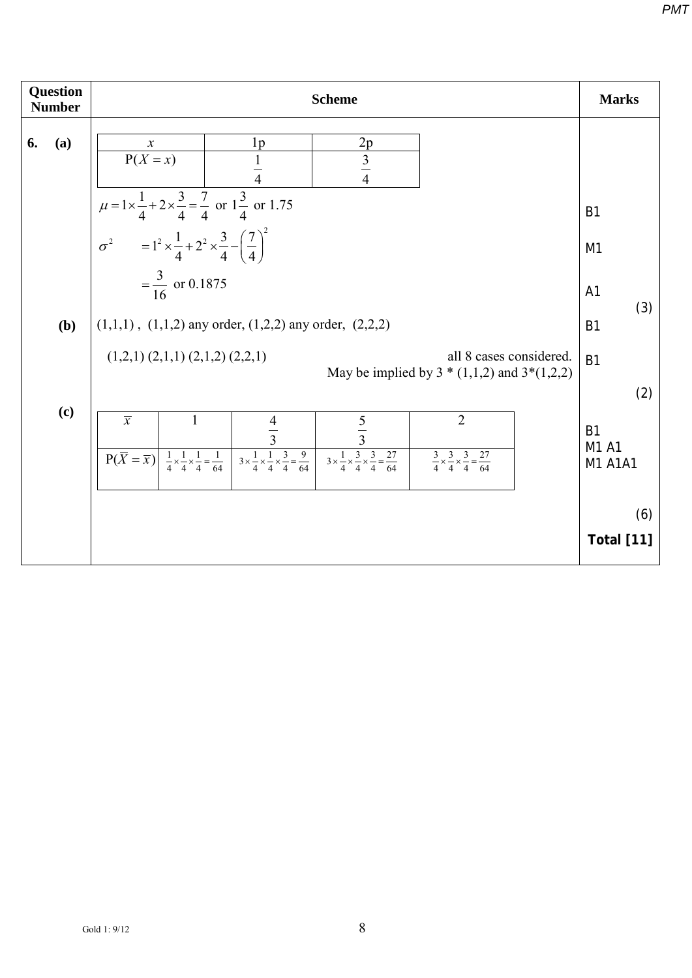| Question<br><b>Number</b> |     | <b>Scheme</b>                                                                                                                                                                                                                                                                                                                                                                                                                    |                                                           |  |  |  |  |  |  |
|---------------------------|-----|----------------------------------------------------------------------------------------------------------------------------------------------------------------------------------------------------------------------------------------------------------------------------------------------------------------------------------------------------------------------------------------------------------------------------------|-----------------------------------------------------------|--|--|--|--|--|--|
| 6.                        | (a) | $rac{2p}{\cancel{3}}$<br>1 <sub>p</sub><br>$\boldsymbol{x}$<br>$P(X = x)$<br>$\frac{1}{4}$                                                                                                                                                                                                                                                                                                                                       |                                                           |  |  |  |  |  |  |
|                           |     | $\mu = 1 \times \frac{1}{4} + 2 \times \frac{3}{4} = \frac{7}{4}$ or $1\frac{3}{4}$ or 1.75<br><b>B1</b>                                                                                                                                                                                                                                                                                                                         |                                                           |  |  |  |  |  |  |
|                           |     | $\sigma^2$ = $1^2 \times \frac{1}{4} + 2^2 \times \frac{3}{4} - \left(\frac{7}{4}\right)^2$                                                                                                                                                                                                                                                                                                                                      | M1                                                        |  |  |  |  |  |  |
|                           |     | $=\frac{3}{16}$ or 0.1875<br>A <sub>1</sub>                                                                                                                                                                                                                                                                                                                                                                                      |                                                           |  |  |  |  |  |  |
|                           | (b) | $(1,1,1)$ , $(1,1,2)$ any order, $(1,2,2)$ any order, $(2,2,2)$<br><b>B1</b>                                                                                                                                                                                                                                                                                                                                                     |                                                           |  |  |  |  |  |  |
|                           |     | all 8 cases considered.<br>$(1,2,1)$ $(2,1,1)$ $(2,1,2)$ $(2,2,1)$<br><b>B1</b><br>May be implied by $3 * (1,1,2)$ and $3*(1,2,2)$                                                                                                                                                                                                                                                                                               |                                                           |  |  |  |  |  |  |
|                           | (c) | $\overline{x}$<br>$\overline{2}$<br>$\mathbf{1}$<br>$\frac{4}{3}$<br>$rac{5}{3}$<br>$3 \times \frac{1}{4} \times \frac{1}{4} \times \frac{3}{4} = \frac{9}{64}$<br>$3 \times \frac{1}{4} \times \frac{3}{4} \times \frac{3}{4} = \frac{27}{64}$<br>$P(\overline{X} = \overline{x})$<br>$\frac{3}{4} \times \frac{3}{4} \times \frac{3}{4} = \frac{27}{64}$<br>$\frac{1}{4} \times \frac{1}{4} \times \frac{1}{4} = \frac{1}{64}$ | <b>B1</b><br>M1 A1<br>M1 A1A1<br>(6)<br><b>Total [11]</b> |  |  |  |  |  |  |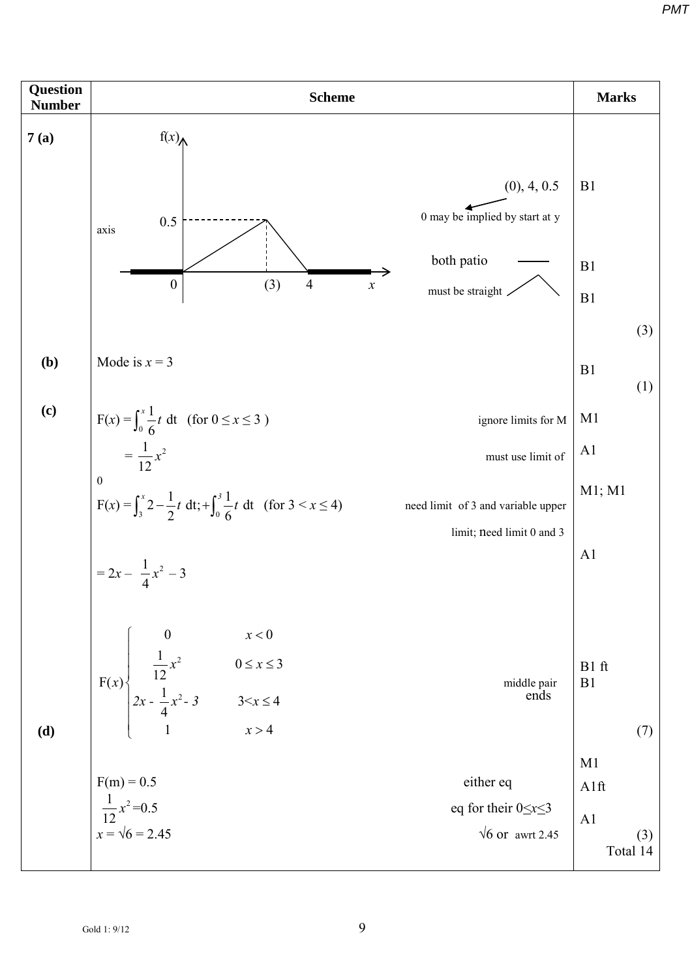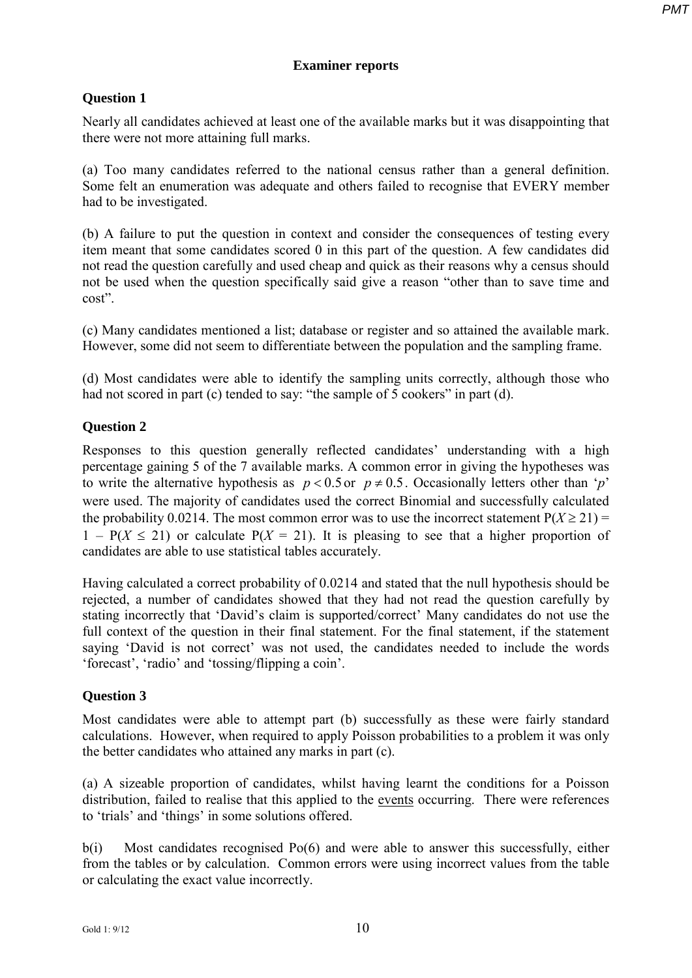### **Examiner reports**

### **Question 1**

Nearly all candidates achieved at least one of the available marks but it was disappointing that there were not more attaining full marks.

(a) Too many candidates referred to the national census rather than a general definition. Some felt an enumeration was adequate and others failed to recognise that EVERY member had to be investigated.

(b) A failure to put the question in context and consider the consequences of testing every item meant that some candidates scored 0 in this part of the question. A few candidates did not read the question carefully and used cheap and quick as their reasons why a census should not be used when the question specifically said give a reason "other than to save time and cost".

(c) Many candidates mentioned a list; database or register and so attained the available mark. However, some did not seem to differentiate between the population and the sampling frame.

(d) Most candidates were able to identify the sampling units correctly, although those who had not scored in part (c) tended to say: "the sample of 5 cookers" in part (d).

#### **Question 2**

Responses to this question generally reflected candidates' understanding with a high percentage gaining 5 of the 7 available marks. A common error in giving the hypotheses was to write the alternative hypothesis as  $p < 0.5$  or  $p \neq 0.5$ . Occasionally letters other than '*p*' were used. The majority of candidates used the correct Binomial and successfully calculated the probability 0.0214. The most common error was to use the incorrect statement  $P(X \ge 21)$  =  $1 - P(X \le 21)$  or calculate  $P(X = 21)$ . It is pleasing to see that a higher proportion of candidates are able to use statistical tables accurately.

Having calculated a correct probability of 0.0214 and stated that the null hypothesis should be rejected, a number of candidates showed that they had not read the question carefully by stating incorrectly that 'David's claim is supported/correct' Many candidates do not use the full context of the question in their final statement. For the final statement, if the statement saying 'David is not correct' was not used, the candidates needed to include the words 'forecast', 'radio' and 'tossing/flipping a coin'.

#### **Question 3**

Most candidates were able to attempt part (b) successfully as these were fairly standard calculations. However, when required to apply Poisson probabilities to a problem it was only the better candidates who attained any marks in part (c).

(a) A sizeable proportion of candidates, whilst having learnt the conditions for a Poisson distribution, failed to realise that this applied to the events occurring. There were references to 'trials' and 'things' in some solutions offered.

b(i) Most candidates recognised Po(6) and were able to answer this successfully, either from the tables or by calculation. Common errors were using incorrect values from the table or calculating the exact value incorrectly.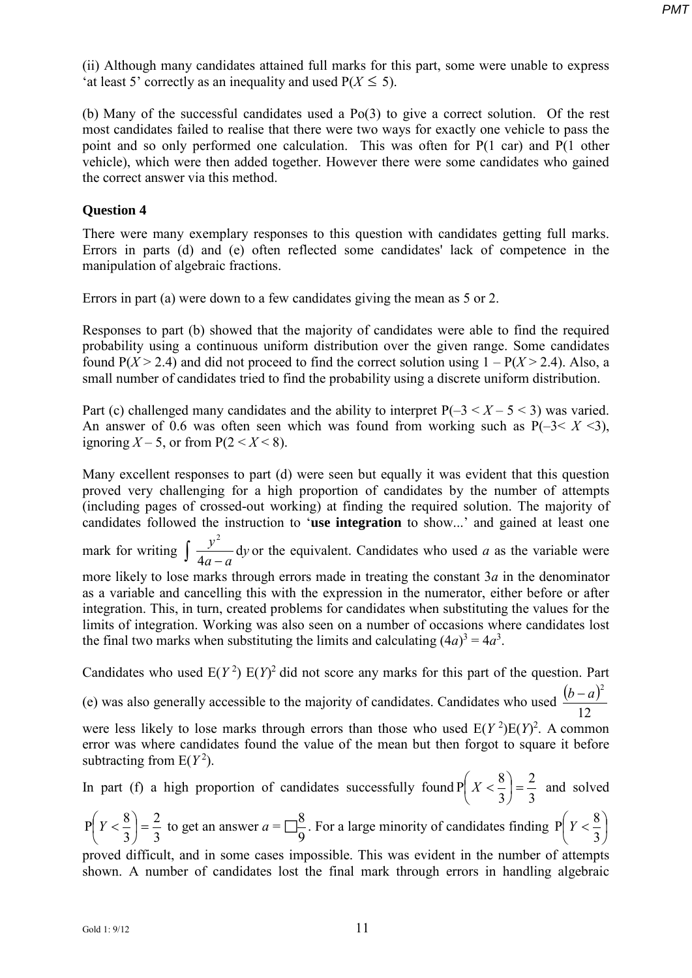(ii) Although many candidates attained full marks for this part, some were unable to express 'at least 5' correctly as an inequality and used  $P(X \le 5)$ .

(b) Many of the successful candidates used a Po(3) to give a correct solution. Of the rest most candidates failed to realise that there were two ways for exactly one vehicle to pass the point and so only performed one calculation. This was often for P(1 car) and P(1 other vehicle), which were then added together. However there were some candidates who gained the correct answer via this method.

#### **Question 4**

There were many exemplary responses to this question with candidates getting full marks. Errors in parts (d) and (e) often reflected some candidates' lack of competence in the manipulation of algebraic fractions.

Errors in part (a) were down to a few candidates giving the mean as 5 or 2.

Responses to part (b) showed that the majority of candidates were able to find the required probability using a continuous uniform distribution over the given range. Some candidates found  $P(X > 2.4)$  and did not proceed to find the correct solution using  $1 - P(X > 2.4)$ . Also, a small number of candidates tried to find the probability using a discrete uniform distribution.

Part (c) challenged many candidates and the ability to interpret  $P(-3 < X - 5 < 3)$  was varied. An answer of 0.6 was often seen which was found from working such as  $P(-3 < X < 3)$ , ignoring  $X - 5$ , or from  $P(2 < X < 8)$ .

Many excellent responses to part (d) were seen but equally it was evident that this question proved very challenging for a high proportion of candidates by the number of attempts (including pages of crossed-out working) at finding the required solution. The majority of candidates followed the instruction to '**use integration** to show...' and gained at least one mark for writing  $\frac{y}{4}$  dy  $a - a$  $\frac{y^2}{\phantom{0}}$ d 4  $\int \frac{y^2}{4a-a}$  dy or the equivalent. Candidates who used *a* as the variable were more likely to lose marks through errors made in treating the constant 3*a* in the denominator as a variable and cancelling this with the expression in the numerator, either before or after integration. This, in turn, created problems for candidates when substituting the values for the limits of integration. Working was also seen on a number of occasions where candidates lost the final two marks when substituting the limits and calculating  $(4a)^3 = 4a^3$ .

Candidates who used  $E(Y^2) E(Y)^2$  did not score any marks for this part of the question. Part (e) was also generally accessible to the majority of candidates. Candidates who used  $\frac{(b-a)}{12}$  $(b-a)^2$ 

12 were less likely to lose marks through errors than those who used  $E(Y^2)E(Y)^2$ . A common error was where candidates found the value of the mean but then forgot to square it before subtracting from  $E(Y^2)$ .

In part (f) a high proportion of candidates successfully found 
$$
P\left(X < \frac{8}{3}\right) = \frac{2}{3}
$$
 and solved  $P\left(Y < \frac{8}{3}\right) = \frac{2}{3}$  to get an answer  $a = \frac{8}{9}$ . For a large minority of candidates finding  $P\left(Y < \frac{8}{3}\right)$  proved difficult, and in some cases impossible. This was evident in the number of attempts shown. A number of candidates lost the final mark through errors in handling algebraic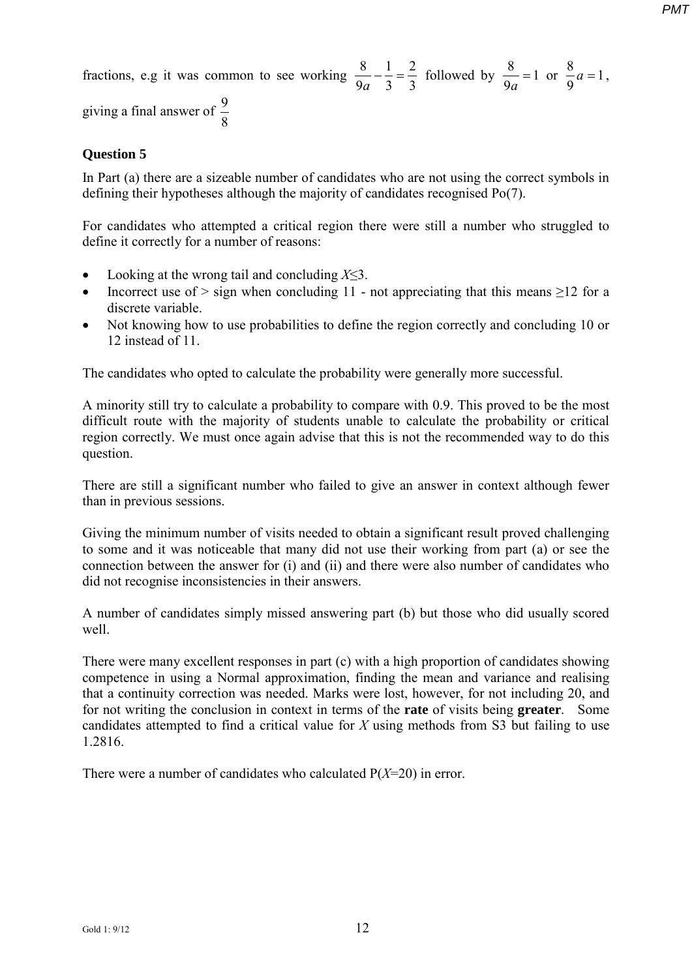fractions, e.g it was common to see working  $\frac{8}{9a} - \frac{1}{3} = \frac{2}{3}$ 3 1  $\frac{8}{9a} - \frac{1}{3} = \frac{2}{3}$  followed by  $\frac{8}{9a} = 1$  $\frac{8}{9a} = 1$  or  $\frac{8}{9}a = 1$ 9  $\frac{8}{6}a = 1,$ giving a final answer of  $\frac{9}{8}$ 

## **Question 5**

In Part (a) there are a sizeable number of candidates who are not using the correct symbols in defining their hypotheses although the majority of candidates recognised Po(7).

For candidates who attempted a critical region there were still a number who struggled to define it correctly for a number of reasons:

- Looking at the wrong tail and concluding *X*≤3.
- Incorrect use of  $>$  sign when concluding 11 not appreciating that this means  $\geq$ 12 for a discrete variable.
- Not knowing how to use probabilities to define the region correctly and concluding 10 or 12 instead of 11.

The candidates who opted to calculate the probability were generally more successful.

A minority still try to calculate a probability to compare with 0.9. This proved to be the most difficult route with the majority of students unable to calculate the probability or critical region correctly. We must once again advise that this is not the recommended way to do this question.

There are still a significant number who failed to give an answer in context although fewer than in previous sessions.

Giving the minimum number of visits needed to obtain a significant result proved challenging to some and it was noticeable that many did not use their working from part (a) or see the connection between the answer for (i) and (ii) and there were also number of candidates who did not recognise inconsistencies in their answers.

A number of candidates simply missed answering part (b) but those who did usually scored well.

There were many excellent responses in part (c) with a high proportion of candidates showing competence in using a Normal approximation, finding the mean and variance and realising that a continuity correction was needed. Marks were lost, however, for not including 20, and for not writing the conclusion in context in terms of the **rate** of visits being **greater**. Some candidates attempted to find a critical value for *X* using methods from S3 but failing to use 1.2816.

There were a number of candidates who calculated P(*X*=20) in error.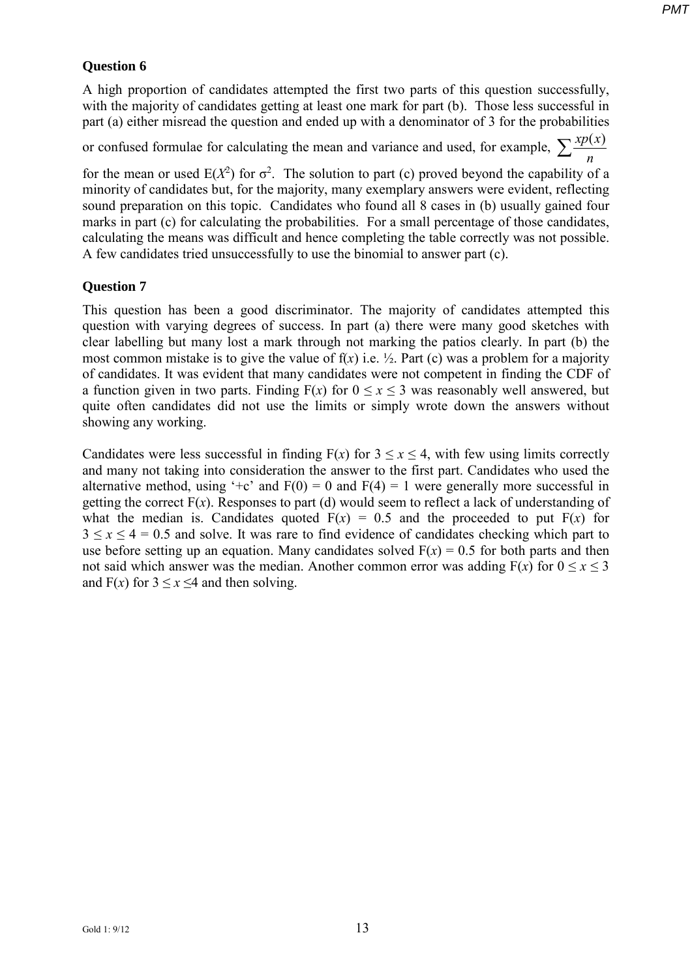#### **Question 6**

A high proportion of candidates attempted the first two parts of this question successfully, with the majority of candidates getting at least one mark for part (b). Those less successful in part (a) either misread the question and ended up with a denominator of 3 for the probabilities

or confused formulae for calculating the mean and variance and used, for example,  $\sum \frac{xp(x)}{n}$ 

for the mean or used  $E(X^2)$  for  $\sigma^2$ . The solution to part (c) proved beyond the capability of a minority of candidates but, for the majority, many exemplary answers were evident, reflecting sound preparation on this topic. Candidates who found all 8 cases in (b) usually gained four marks in part (c) for calculating the probabilities. For a small percentage of those candidates, calculating the means was difficult and hence completing the table correctly was not possible. A few candidates tried unsuccessfully to use the binomial to answer part (c).

#### **Question 7**

This question has been a good discriminator. The majority of candidates attempted this question with varying degrees of success. In part (a) there were many good sketches with clear labelling but many lost a mark through not marking the patios clearly. In part (b) the most common mistake is to give the value of  $f(x)$  i.e.  $\frac{1}{2}$ . Part (c) was a problem for a majority of candidates. It was evident that many candidates were not competent in finding the CDF of a function given in two parts. Finding  $F(x)$  for  $0 \le x \le 3$  was reasonably well answered, but quite often candidates did not use the limits or simply wrote down the answers without showing any working.

Candidates were less successful in finding  $F(x)$  for  $3 \le x \le 4$ , with few using limits correctly and many not taking into consideration the answer to the first part. Candidates who used the alternative method, using '+c' and  $F(0) = 0$  and  $F(4) = 1$  were generally more successful in getting the correct  $F(x)$ . Responses to part (d) would seem to reflect a lack of understanding of what the median is. Candidates quoted  $F(x) = 0.5$  and the proceeded to put  $F(x)$  for  $3 \le x \le 4 = 0.5$  and solve. It was rare to find evidence of candidates checking which part to use before setting up an equation. Many candidates solved  $F(x) = 0.5$  for both parts and then not said which answer was the median. Another common error was adding  $F(x)$  for  $0 \le x \le 3$ and  $F(x)$  for  $3 \le x \le 4$  and then solving.